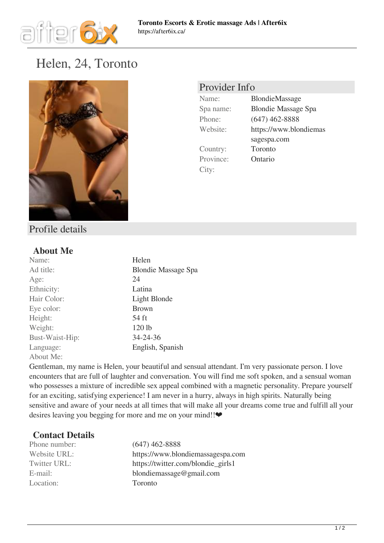

# [Helen, 24, Toronto](https://after6ix.ca/massage-profiles/helen-24-toronto-2152.html)



## Provider Info

Country: Toronto Province: Ontario City:

Name: BlondieMassage Spa name: Blondie Massage Spa Phone: (647) 462-8888 Website: https://www.blondiemas sagespa.com

### Profile details

#### **About Me**

| Name:           | Helen                      |
|-----------------|----------------------------|
| Ad title:       | <b>Blondie Massage Spa</b> |
| Age:            | 24                         |
| Ethnicity:      | Latina                     |
| Hair Color:     | Light Blonde               |
| Eye color:      | <b>Brown</b>               |
| Height:         | 54 ft                      |
| Weight:         | 120 lb                     |
| Bust-Waist-Hip: | 34-24-36                   |
| Language:       | English, Spanish           |
| About Me:       |                            |

Gentleman, my name is Helen, your beautiful and sensual attendant. I'm very passionate person. I love encounters that are full of laughter and conversation. You will find me soft spoken, and a sensual woman who possesses a mixture of incredible sex appeal combined with a magnetic personality. Prepare yourself for an exciting, satisfying experience! I am never in a hurry, always in high spirits. Naturally being sensitive and aware of your needs at all times that will make all your dreams come true and fulfill all your desires leaving you begging for more and me on your mind!!❤

#### **Contact Details**

| Phone number: | $(647)$ 462-8888                   |
|---------------|------------------------------------|
| Website URL:  | https://www.blondiemassagespa.com  |
| Twitter URL:  | https://twitter.com/blondie_girls1 |
| E-mail:       | blondiemassage@gmail.com           |
| Location:     | Toronto                            |
|               |                                    |